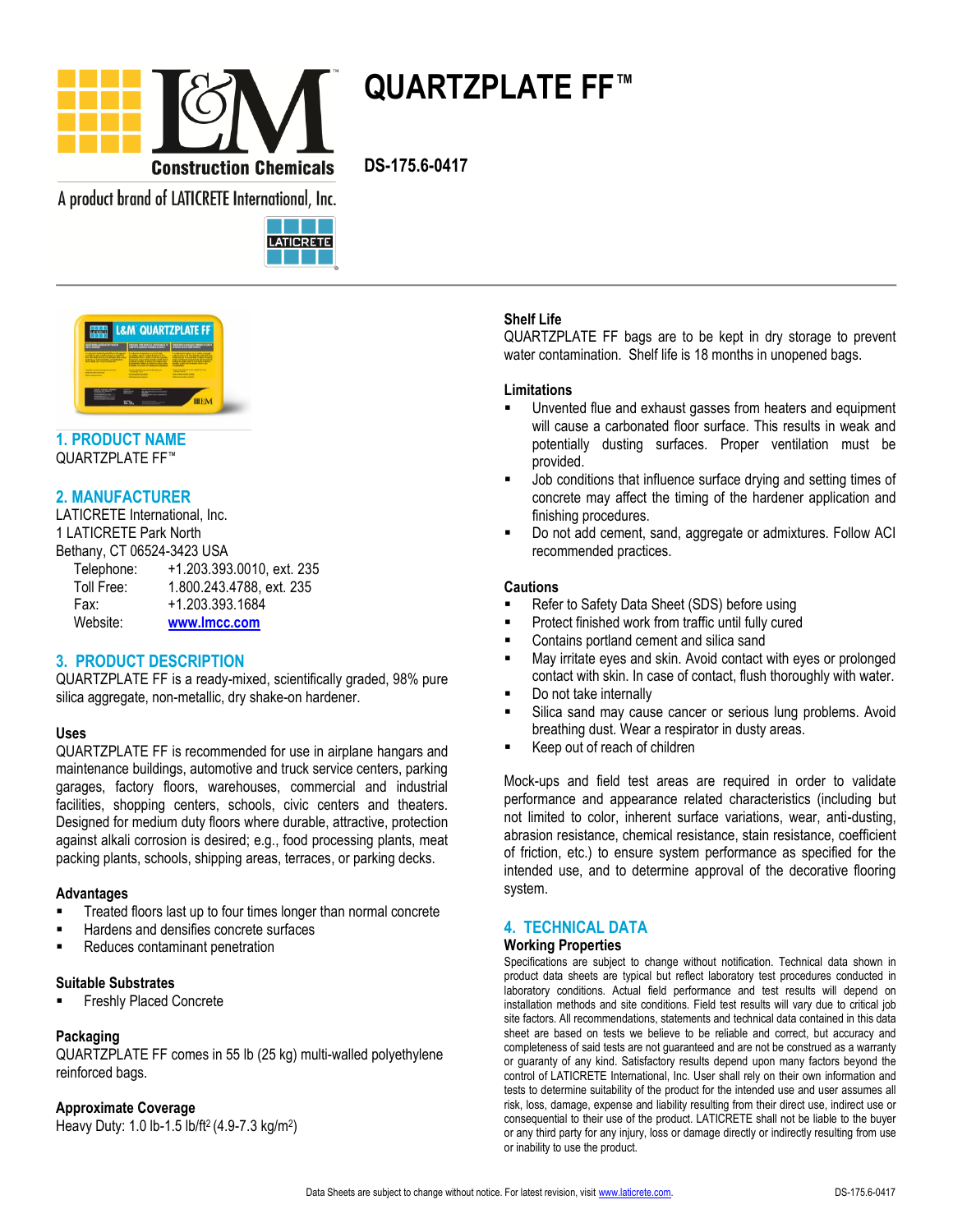

**QUARTZPLATE FF™**

**DS-175.6-0417**

A product brand of LATICRETE International, Inc.





# **1. PRODUCT NAME** QUARTZPLATE FF™

# **2. MANUFACTURER**

LATICRETE International, Inc. 1 LATICRETE Park North Bethany, CT 06524-3423 USA Telephone: +1.203.393.0010, ext. 235 Toll Free: 1.800.243.4788, ext. 235 Fax: +1.203.393.1684 Website: **[www.lmcc.com](http://www.lmcc.com/)**

# **3. PRODUCT DESCRIPTION**

QUARTZPLATE FF is a ready-mixed, scientifically graded, 98% pure silica aggregate, non-metallic, dry shake-on hardener.

# **Uses**

QUARTZPLATE FF is recommended for use in airplane hangars and maintenance buildings, automotive and truck service centers, parking garages, factory floors, warehouses, commercial and industrial facilities, shopping centers, schools, civic centers and theaters. Designed for medium duty floors where durable, attractive, protection against alkali corrosion is desired; e.g., food processing plants, meat packing plants, schools, shipping areas, terraces, or parking decks.

#### **Advantages**

- Treated floors last up to four times longer than normal concrete
- Hardens and densifies concrete surfaces
- **Reduces contaminant penetration**

### **Suitable Substrates**

Freshly Placed Concrete

# **Packaging**

QUARTZPLATE FF comes in 55 lb (25 kg) multi-walled polyethylene reinforced bags.

#### **Approximate Coverage**

Heavy Duty: 1.0 lb-1.5 lb/ft2 (4.9-7.3 kg/m<sup>2</sup> )

# **Shelf Life**

QUARTZPLATE FF bags are to be kept in dry storage to prevent water contamination. Shelf life is 18 months in unopened bags.

#### **Limitations**

- Unvented flue and exhaust gasses from heaters and equipment will cause a carbonated floor surface. This results in weak and potentially dusting surfaces. Proper ventilation must be provided.
- Job conditions that influence surface drying and setting times of concrete may affect the timing of the hardener application and finishing procedures.
- Do not add cement, sand, aggregate or admixtures. Follow ACI recommended practices.

### **Cautions**

- Refer to Safety Data Sheet (SDS) before using
- Protect finished work from traffic until fully cured
- Contains portland cement and silica sand
- May irritate eyes and skin. Avoid contact with eyes or prolonged contact with skin. In case of contact, flush thoroughly with water.
- Do not take internally
- Silica sand may cause cancer or serious lung problems. Avoid breathing dust. Wear a respirator in dusty areas.
- Keep out of reach of children

Mock-ups and field test areas are required in order to validate performance and appearance related characteristics (including but not limited to color, inherent surface variations, wear, anti-dusting, abrasion resistance, chemical resistance, stain resistance, coefficient of friction, etc.) to ensure system performance as specified for the intended use, and to determine approval of the decorative flooring system.

# **4. TECHNICAL DATA**

#### **Working Properties**

Specifications are subject to change without notification. Technical data shown in product data sheets are typical but reflect laboratory test procedures conducted in laboratory conditions. Actual field performance and test results will depend on installation methods and site conditions. Field test results will vary due to critical job site factors. All recommendations, statements and technical data contained in this data sheet are based on tests we believe to be reliable and correct, but accuracy and completeness of said tests are not guaranteed and are not be construed as a warranty or guaranty of any kind. Satisfactory results depend upon many factors beyond the control of LATICRETE International, Inc. User shall rely on their own information and tests to determine suitability of the product for the intended use and user assumes all risk, loss, damage, expense and liability resulting from their direct use, indirect use or consequential to their use of the product. LATICRETE shall not be liable to the buyer or any third party for any injury, loss or damage directly or indirectly resulting from use or inability to use the product.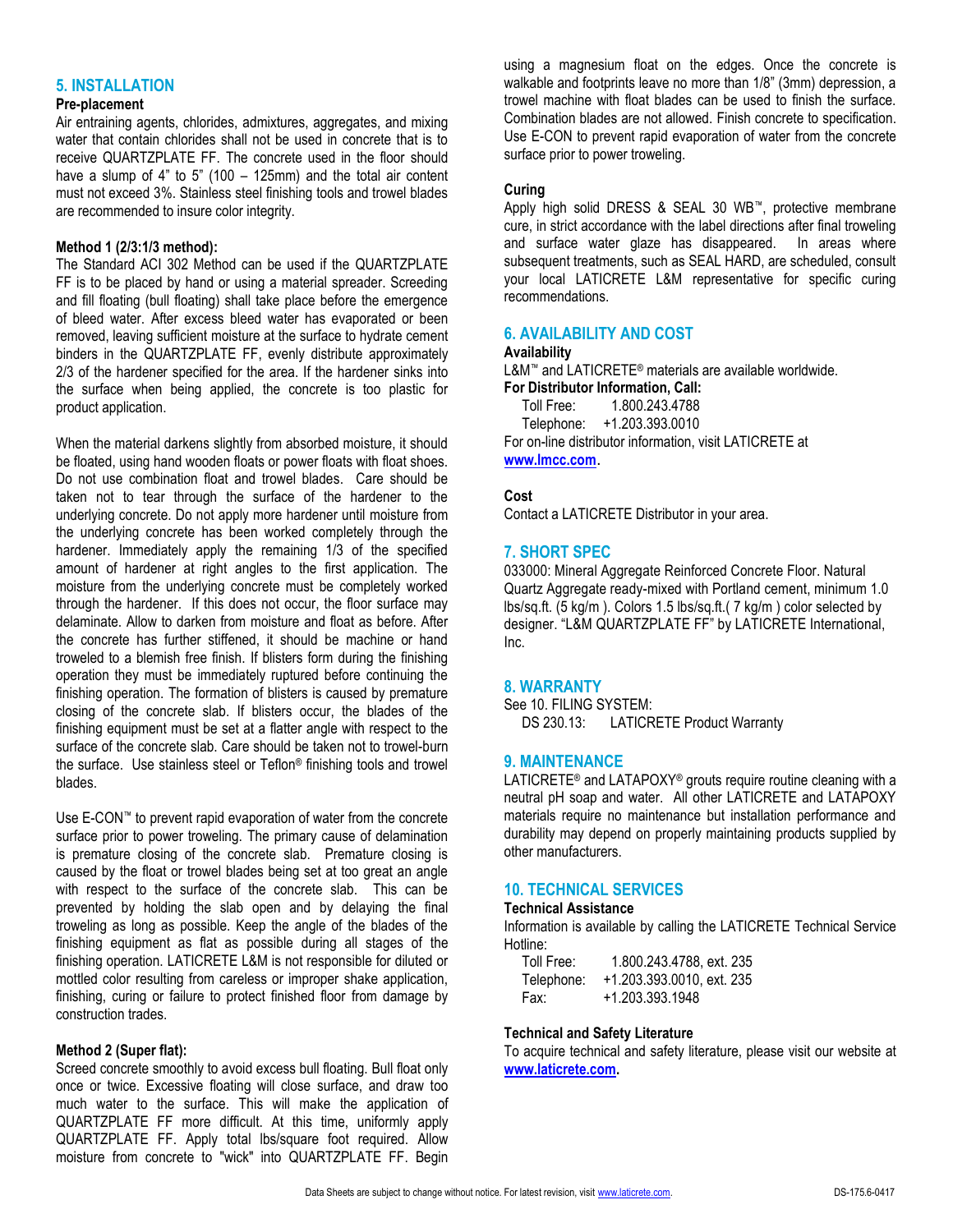# **5. INSTALLATION**

### **Pre-placement**

Air entraining agents, chlorides, admixtures, aggregates, and mixing water that contain chlorides shall not be used in concrete that is to receive QUARTZPLATE FF. The concrete used in the floor should have a slump of  $4"$  to  $5"$  (100 – 125mm) and the total air content must not exceed 3%. Stainless steel finishing tools and trowel blades are recommended to insure color integrity.

### **Method 1 (2/3:1/3 method):**

The Standard ACI 302 Method can be used if the QUARTZPLATE FF is to be placed by hand or using a material spreader. Screeding and fill floating (bull floating) shall take place before the emergence of bleed water. After excess bleed water has evaporated or been removed, leaving sufficient moisture at the surface to hydrate cement binders in the QUARTZPLATE FF, evenly distribute approximately 2/3 of the hardener specified for the area. If the hardener sinks into the surface when being applied, the concrete is too plastic for product application.

When the material darkens slightly from absorbed moisture, it should be floated, using hand wooden floats or power floats with float shoes. Do not use combination float and trowel blades. Care should be taken not to tear through the surface of the hardener to the underlying concrete. Do not apply more hardener until moisture from the underlying concrete has been worked completely through the hardener. Immediately apply the remaining 1/3 of the specified amount of hardener at right angles to the first application. The moisture from the underlying concrete must be completely worked through the hardener. If this does not occur, the floor surface may delaminate. Allow to darken from moisture and float as before. After the concrete has further stiffened, it should be machine or hand troweled to a blemish free finish. If blisters form during the finishing operation they must be immediately ruptured before continuing the finishing operation. The formation of blisters is caused by premature closing of the concrete slab. If blisters occur, the blades of the finishing equipment must be set at a flatter angle with respect to the surface of the concrete slab. Care should be taken not to trowel-burn the surface. Use stainless steel or Teflon® finishing tools and trowel blades.

Use E-CON™ to prevent rapid evaporation of water from the concrete surface prior to power troweling. The primary cause of delamination is premature closing of the concrete slab. Premature closing is caused by the float or trowel blades being set at too great an angle with respect to the surface of the concrete slab. This can be prevented by holding the slab open and by delaying the final troweling as long as possible. Keep the angle of the blades of the finishing equipment as flat as possible during all stages of the finishing operation. LATICRETE L&M is not responsible for diluted or mottled color resulting from careless or improper shake application, finishing, curing or failure to protect finished floor from damage by construction trades.

#### **Method 2 (Super flat):**

Screed concrete smoothly to avoid excess bull floating. Bull float only once or twice. Excessive floating will close surface, and draw too much water to the surface. This will make the application of QUARTZPLATE FF more difficult. At this time, uniformly apply QUARTZPLATE FF. Apply total lbs/square foot required. Allow moisture from concrete to "wick" into QUARTZPLATE FF. Begin

using a magnesium float on the edges. Once the concrete is walkable and footprints leave no more than 1/8" (3mm) depression, a trowel machine with float blades can be used to finish the surface. Combination blades are not allowed. Finish concrete to specification. Use E-CON to prevent rapid evaporation of water from the concrete surface prior to power troweling.

# **Curing**

Apply high solid DRESS & SEAL 30 WB™, protective membrane cure, in strict accordance with the label directions after final troweling and surface water glaze has disappeared. In areas where subsequent treatments, such as SEAL HARD, are scheduled, consult your local LATICRETE L&M representative for specific curing recommendations.

# **6. AVAILABILITY AND COST**

#### **Availability**

L&M™ and LATICRETE® materials are available worldwide. **For Distributor Information, Call:**<br>Toll Free: 1800 243 4788

 Toll Free: 1.800.243.4788 Telephone: +1.203.393.0010 For on-line distributor information, visit LATICRETE at **[www.lmcc.com](http://www.lmcc.com/)**.

# **Cost**

Contact a LATICRETE Distributor in your area.

# **7. SHORT SPEC**

033000: Mineral Aggregate Reinforced Concrete Floor. Natural Quartz Aggregate ready-mixed with Portland cement, minimum 1.0 lbs/sq.ft. (5 kg/m ). Colors 1.5 lbs/sq.ft.( 7 kg/m ) color selected by designer. "L&M QUARTZPLATE FF" by LATICRETE International, Inc.

# **8. WARRANTY**

See 10. FILING SYSTEM: DS 230.13: LATICRETE Product Warranty

# **9. MAINTENANCE**

LATICRETE<sup>®</sup> and LATAPOXY<sup>®</sup> grouts require routine cleaning with a neutral pH soap and water. All other LATICRETE and LATAPOXY materials require no maintenance but installation performance and durability may depend on properly maintaining products supplied by other manufacturers.

# **10. TECHNICAL SERVICES**

#### **Technical Assistance**

Information is available by calling the LATICRETE Technical Service Hotline:

| Toll Free: | 1.800.243.4788, ext. 235  |
|------------|---------------------------|
| Telephone: | +1.203.393.0010, ext. 235 |
| Fax:       | +1.203.393.1948           |

# **Technical and Safety Literature**

To acquire technical and safety literature, please visit our website at **[www.laticrete.com.](http://www.laticrete.com/)**